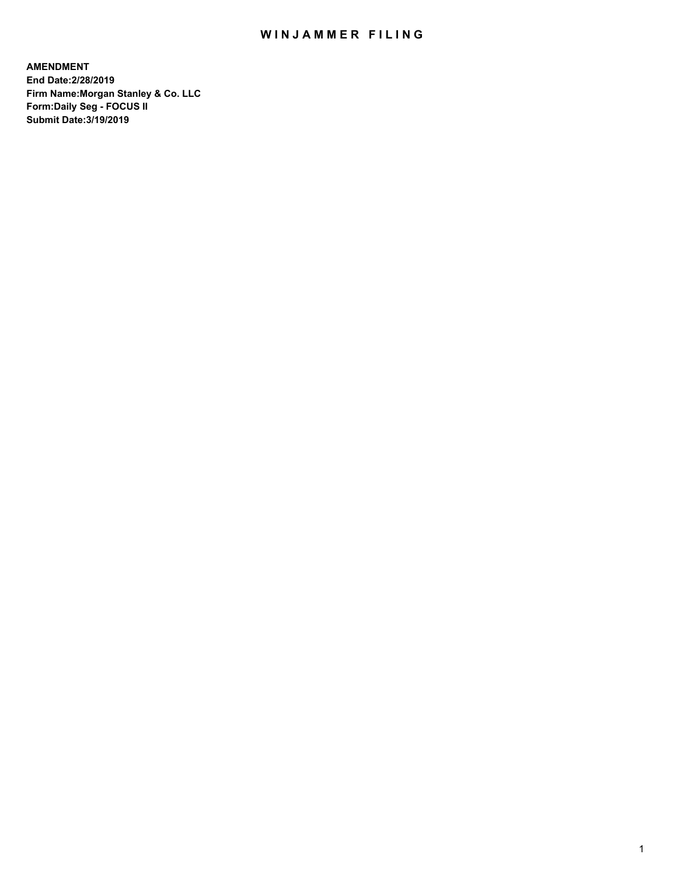## WIN JAMMER FILING

**AMENDMENT End Date:2/28/2019 Firm Name:Morgan Stanley & Co. LLC Form:Daily Seg - FOCUS II Submit Date:3/19/2019**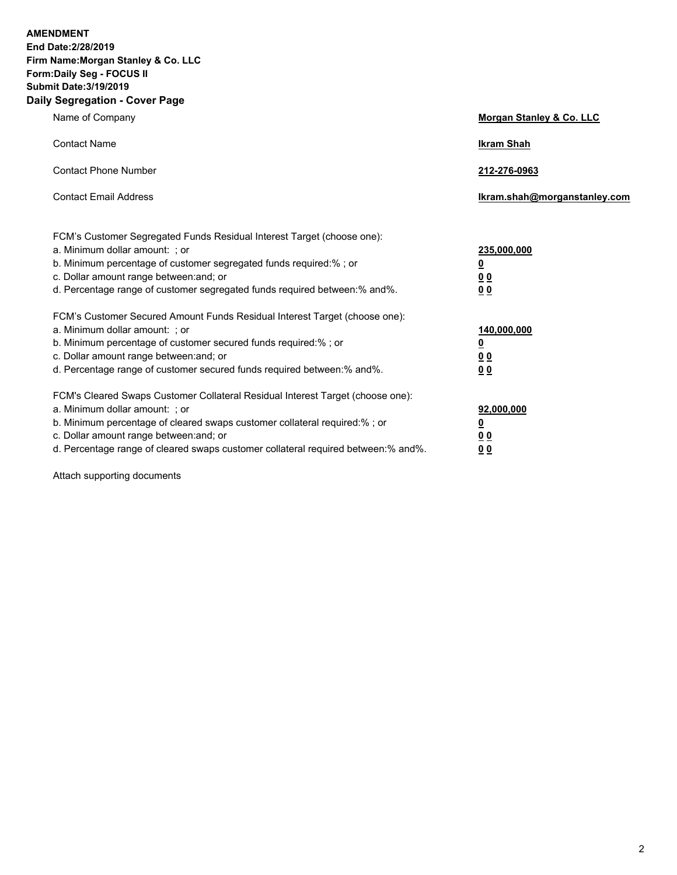**AMENDMENT End Date:2/28/2019 Firm Name:Morgan Stanley & Co. LLC Form:Daily Seg - FOCUS II Submit Date:3/19/2019 Daily Segregation - Cover Page**

| Name of Company                                                                                                                                                                                                                                                                                                                | Morgan Stanley & Co. LLC                        |
|--------------------------------------------------------------------------------------------------------------------------------------------------------------------------------------------------------------------------------------------------------------------------------------------------------------------------------|-------------------------------------------------|
| <b>Contact Name</b>                                                                                                                                                                                                                                                                                                            | <b>Ikram Shah</b>                               |
| <b>Contact Phone Number</b>                                                                                                                                                                                                                                                                                                    | 212-276-0963                                    |
| <b>Contact Email Address</b>                                                                                                                                                                                                                                                                                                   | Ikram.shah@morganstanley.com                    |
| FCM's Customer Segregated Funds Residual Interest Target (choose one):<br>a. Minimum dollar amount: : or<br>b. Minimum percentage of customer segregated funds required:% ; or<br>c. Dollar amount range between: and; or<br>d. Percentage range of customer segregated funds required between:% and%.                         | 235,000,000<br><u>0</u><br><u>00</u><br>00      |
| FCM's Customer Secured Amount Funds Residual Interest Target (choose one):<br>a. Minimum dollar amount: ; or<br>b. Minimum percentage of customer secured funds required:%; or<br>c. Dollar amount range between: and; or<br>d. Percentage range of customer secured funds required between:% and%.                            | 140,000,000<br><u>0</u><br>0 <sub>0</sub><br>00 |
| FCM's Cleared Swaps Customer Collateral Residual Interest Target (choose one):<br>a. Minimum dollar amount: ; or<br>b. Minimum percentage of cleared swaps customer collateral required:% ; or<br>c. Dollar amount range between: and; or<br>d. Percentage range of cleared swaps customer collateral required between:% and%. | 92,000,000<br><u>0</u><br>0 Q<br>00             |

Attach supporting documents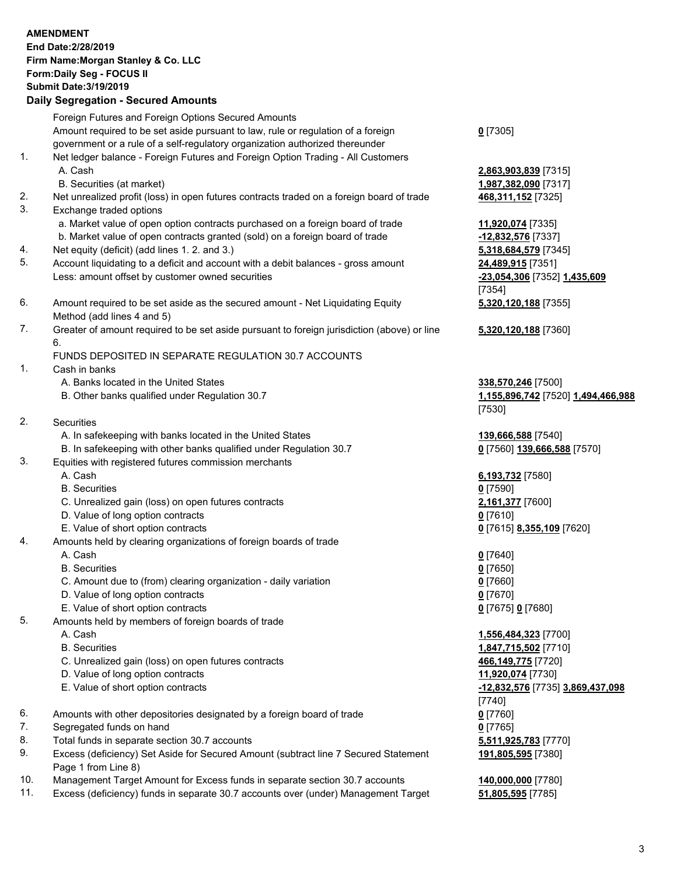|          | <b>AMENDMENT</b><br>End Date: 2/28/2019<br>Firm Name: Morgan Stanley & Co. LLC<br>Form: Daily Seg - FOCUS II<br><b>Submit Date: 3/19/2019</b>                                                                                                                                                              |                                                                 |
|----------|------------------------------------------------------------------------------------------------------------------------------------------------------------------------------------------------------------------------------------------------------------------------------------------------------------|-----------------------------------------------------------------|
|          | <b>Daily Segregation - Secured Amounts</b>                                                                                                                                                                                                                                                                 |                                                                 |
| 1.       | Foreign Futures and Foreign Options Secured Amounts<br>Amount required to be set aside pursuant to law, rule or regulation of a foreign<br>government or a rule of a self-regulatory organization authorized thereunder<br>Net ledger balance - Foreign Futures and Foreign Option Trading - All Customers | $0$ [7305]                                                      |
|          | A. Cash<br>B. Securities (at market)                                                                                                                                                                                                                                                                       | 2,863,903,839 [7315]<br>1,987,382,090 [7317]                    |
| 2.<br>3. | Net unrealized profit (loss) in open futures contracts traded on a foreign board of trade<br>Exchange traded options                                                                                                                                                                                       | 468, 311, 152 [7325]                                            |
| 4.       | a. Market value of open option contracts purchased on a foreign board of trade<br>b. Market value of open contracts granted (sold) on a foreign board of trade<br>Net equity (deficit) (add lines 1.2. and 3.)                                                                                             | 11,920,074 [7335]<br>-12,832,576 [7337]<br>5,318,684,579 [7345] |
| 5.       | Account liquidating to a deficit and account with a debit balances - gross amount<br>Less: amount offset by customer owned securities                                                                                                                                                                      | 24,489,915 [7351]<br>-23,054,306 [7352] 1,435,609<br>[7354]     |
| 6.       | Amount required to be set aside as the secured amount - Net Liquidating Equity<br>Method (add lines 4 and 5)                                                                                                                                                                                               | 5,320,120,188 [7355]                                            |
| 7.       | Greater of amount required to be set aside pursuant to foreign jurisdiction (above) or line<br>6.<br>FUNDS DEPOSITED IN SEPARATE REGULATION 30.7 ACCOUNTS                                                                                                                                                  | 5,320,120,188 [7360]                                            |
| 1.       | Cash in banks<br>A. Banks located in the United States<br>B. Other banks qualified under Regulation 30.7                                                                                                                                                                                                   | 338,570,246 [7500]<br>1,155,896,742 [7520] 1,494,466,988        |
| 2.       | Securities                                                                                                                                                                                                                                                                                                 | [7530]                                                          |
|          | A. In safekeeping with banks located in the United States                                                                                                                                                                                                                                                  | 139,666,588 [7540]                                              |
| 3.       | B. In safekeeping with other banks qualified under Regulation 30.7<br>Equities with registered futures commission merchants                                                                                                                                                                                | 0 [7560] 139,666,588 [7570]                                     |
|          | A. Cash<br><b>B.</b> Securities                                                                                                                                                                                                                                                                            | 6,193,732 [7580]<br>$0$ [7590]                                  |
|          | C. Unrealized gain (loss) on open futures contracts                                                                                                                                                                                                                                                        | 2,161,377 [7600]                                                |
|          | D. Value of long option contracts                                                                                                                                                                                                                                                                          | $0$ [7610]                                                      |
| 4.       | E. Value of short option contracts<br>Amounts held by clearing organizations of foreign boards of trade                                                                                                                                                                                                    | 0 [7615] 8,355,109 [7620]                                       |
|          | A. Cash                                                                                                                                                                                                                                                                                                    | 0[7640]                                                         |
|          | <b>B.</b> Securities                                                                                                                                                                                                                                                                                       | $0$ [7650]                                                      |
|          | C. Amount due to (from) clearing organization - daily variation                                                                                                                                                                                                                                            | $0$ [7660]                                                      |
|          | D. Value of long option contracts                                                                                                                                                                                                                                                                          | $0$ [7670]                                                      |
| 5.       | E. Value of short option contracts                                                                                                                                                                                                                                                                         | 0 [7675] 0 [7680]                                               |
|          | Amounts held by members of foreign boards of trade<br>A. Cash                                                                                                                                                                                                                                              | 1,556,484,323 [7700]                                            |
|          | <b>B.</b> Securities                                                                                                                                                                                                                                                                                       | 1,847,715,502 [7710]                                            |
|          | C. Unrealized gain (loss) on open futures contracts                                                                                                                                                                                                                                                        | 466,149,775 [7720]                                              |
|          | D. Value of long option contracts                                                                                                                                                                                                                                                                          | 11,920,074 [7730]                                               |
|          | E. Value of short option contracts                                                                                                                                                                                                                                                                         | -12,832,576 [7735] 3,869,437,098<br>[7740]                      |
| 6.       | Amounts with other depositories designated by a foreign board of trade                                                                                                                                                                                                                                     | $0$ [7760]                                                      |
| 7.       | Segregated funds on hand                                                                                                                                                                                                                                                                                   | $0$ [7765]                                                      |
| 8.       | Total funds in separate section 30.7 accounts                                                                                                                                                                                                                                                              | 5,511,925,783 [7770]                                            |
| 9.       | Excess (deficiency) Set Aside for Secured Amount (subtract line 7 Secured Statement<br>Page 1 from Line 8)                                                                                                                                                                                                 | 191,805,595 [7380]                                              |

- 10. Management Target Amount for Excess funds in separate section 30.7 accounts **140,000,000** [7780]<br>11. Excess (deficiency) funds in separate 30.7 accounts over (under) Management Target **51,805,595** [7785]
- Excess (deficiency) funds in separate 30.7 accounts over (under) Management Target **51,805,595** [7785]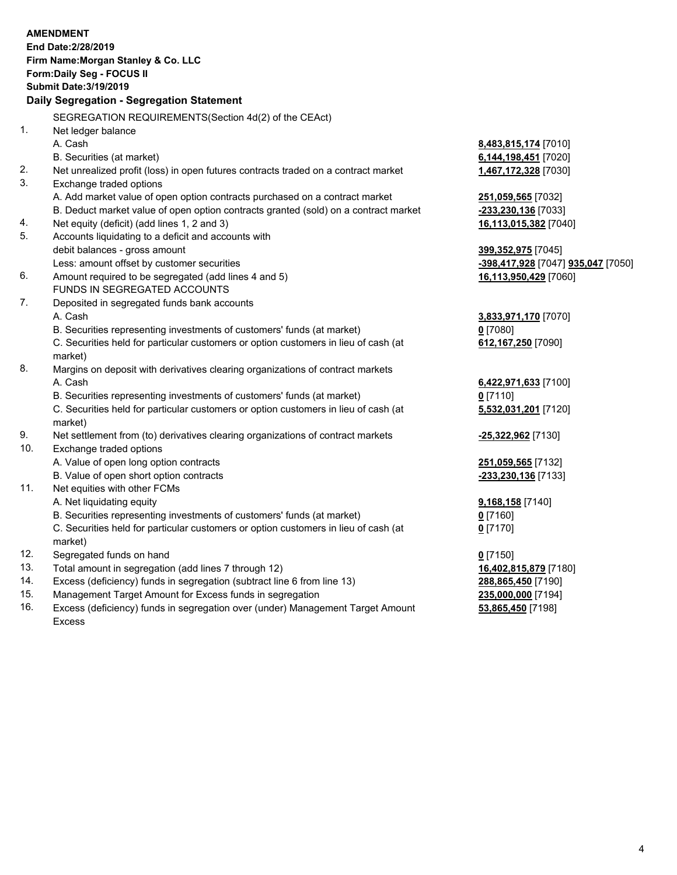|     | <b>AMENDMENT</b><br>End Date: 2/28/2019<br>Firm Name: Morgan Stanley & Co. LLC<br>Form: Daily Seg - FOCUS II<br><b>Submit Date: 3/19/2019</b> |                                    |
|-----|-----------------------------------------------------------------------------------------------------------------------------------------------|------------------------------------|
|     | Daily Segregation - Segregation Statement                                                                                                     |                                    |
|     | SEGREGATION REQUIREMENTS(Section 4d(2) of the CEAct)                                                                                          |                                    |
| 1.  | Net ledger balance                                                                                                                            |                                    |
|     | A. Cash                                                                                                                                       | 8,483,815,174 [7010]               |
|     | B. Securities (at market)                                                                                                                     | 6,144,198,451 [7020]               |
| 2.  | Net unrealized profit (loss) in open futures contracts traded on a contract market                                                            | 1,467,172,328 [7030]               |
| 3.  | Exchange traded options                                                                                                                       |                                    |
|     | A. Add market value of open option contracts purchased on a contract market                                                                   | 251,059,565 [7032]                 |
|     | B. Deduct market value of open option contracts granted (sold) on a contract market                                                           | -233,230,136 [7033]                |
| 4.  | Net equity (deficit) (add lines 1, 2 and 3)                                                                                                   | 16,113,015,382 [7040]              |
| 5.  | Accounts liquidating to a deficit and accounts with                                                                                           |                                    |
|     | debit balances - gross amount                                                                                                                 | 399, 352, 975 [7045]               |
|     | Less: amount offset by customer securities                                                                                                    | -398,417,928 [7047] 935,047 [7050] |
| 6.  | Amount required to be segregated (add lines 4 and 5)<br>FUNDS IN SEGREGATED ACCOUNTS                                                          | 16,113,950,429 [7060]              |
| 7.  | Deposited in segregated funds bank accounts                                                                                                   |                                    |
|     | A. Cash                                                                                                                                       | 3,833,971,170 [7070]               |
|     | B. Securities representing investments of customers' funds (at market)                                                                        | $0$ [7080]                         |
|     | C. Securities held for particular customers or option customers in lieu of cash (at<br>market)                                                | 612,167,250 [7090]                 |
| 8.  | Margins on deposit with derivatives clearing organizations of contract markets                                                                |                                    |
|     | A. Cash                                                                                                                                       | 6,422,971,633 [7100]               |
|     | B. Securities representing investments of customers' funds (at market)                                                                        | $0$ [7110]                         |
|     | C. Securities held for particular customers or option customers in lieu of cash (at<br>market)                                                | 5,532,031,201 [7120]               |
| 9.  | Net settlement from (to) derivatives clearing organizations of contract markets                                                               | -25,322,962 [7130]                 |
| 10. | Exchange traded options                                                                                                                       |                                    |
|     | A. Value of open long option contracts                                                                                                        | 251,059,565 [7132]                 |
|     | B. Value of open short option contracts                                                                                                       | -233,230,136 [7133]                |
| 11. | Net equities with other FCMs                                                                                                                  |                                    |
|     | A. Net liquidating equity                                                                                                                     | 9,168,158 [7140]                   |
|     | B. Securities representing investments of customers' funds (at market)                                                                        | $0$ [7160]                         |
|     | C. Securities held for particular customers or option customers in lieu of cash (at<br>market)                                                | $0$ [7170]                         |
| 12. | Segregated funds on hand                                                                                                                      | $0$ [7150]                         |
| 13. | Total amount in segregation (add lines 7 through 12)                                                                                          | 16,402,815,879 [7180]              |
| 14. | Excess (deficiency) funds in segregation (subtract line 6 from line 13)                                                                       | 288,865,450 [7190]                 |
| 15. | Management Target Amount for Excess funds in segregation                                                                                      | 235,000,000 [7194]                 |

16. Excess (deficiency) funds in segregation over (under) Management Target Amount Excess

**53,865,450** [7198]